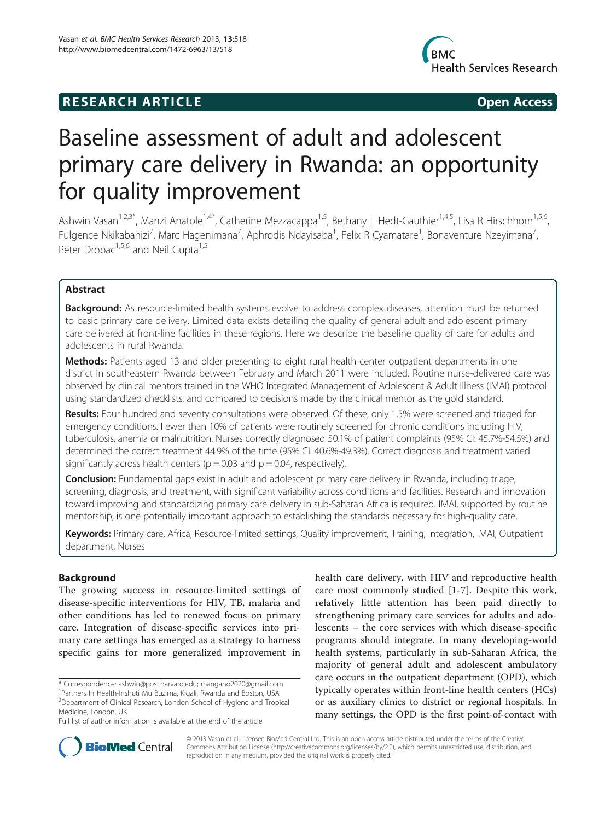# **RESEARCH ARTICLE Example 2014 12:30 The SEAR CHA RESEARCH ARTICLE**



# Baseline assessment of adult and adolescent primary care delivery in Rwanda: an opportunity for quality improvement

Ashwin Vasan<sup>1,2,3\*</sup>, Manzi Anatole<sup>1,4\*</sup>, Catherine Mezzacappa<sup>1,5</sup>, Bethany L Hedt-Gauthier<sup>1,4,5</sup>, Lisa R Hirschhorn<sup>1,5,6</sup>, Fulgence Nkikabahizi<sup>7</sup>, Marc Hagenimana<sup>7</sup>, Aphrodis Ndayisaba<sup>1</sup>, Felix R Cyamatare<sup>1</sup>, Bonaventure Nzeyimana<sup>7</sup> , Peter Drobac<sup>1,5,6</sup> and Neil Gupta<sup>1,5</sup>

# Abstract

Background: As resource-limited health systems evolve to address complex diseases, attention must be returned to basic primary care delivery. Limited data exists detailing the quality of general adult and adolescent primary care delivered at front-line facilities in these regions. Here we describe the baseline quality of care for adults and adolescents in rural Rwanda.

Methods: Patients aged 13 and older presenting to eight rural health center outpatient departments in one district in southeastern Rwanda between February and March 2011 were included. Routine nurse-delivered care was observed by clinical mentors trained in the WHO Integrated Management of Adolescent & Adult Illness (IMAI) protocol using standardized checklists, and compared to decisions made by the clinical mentor as the gold standard.

Results: Four hundred and seventy consultations were observed. Of these, only 1.5% were screened and triaged for emergency conditions. Fewer than 10% of patients were routinely screened for chronic conditions including HIV, tuberculosis, anemia or malnutrition. Nurses correctly diagnosed 50.1% of patient complaints (95% CI: 45.7%-54.5%) and determined the correct treatment 44.9% of the time (95% CI: 40.6%-49.3%). Correct diagnosis and treatment varied significantly across health centers ( $p = 0.03$  and  $p = 0.04$ , respectively).

Conclusion: Fundamental gaps exist in adult and adolescent primary care delivery in Rwanda, including triage, screening, diagnosis, and treatment, with significant variability across conditions and facilities. Research and innovation toward improving and standardizing primary care delivery in sub-Saharan Africa is required. IMAI, supported by routine mentorship, is one potentially important approach to establishing the standards necessary for high-quality care.

Keywords: Primary care, Africa, Resource-limited settings, Quality improvement, Training, Integration, IMAI, Outpatient department, Nurses

# Background

The growing success in resource-limited settings of disease-specific interventions for HIV, TB, malaria and other conditions has led to renewed focus on primary care. Integration of disease-specific services into primary care settings has emerged as a strategy to harness specific gains for more generalized improvement in

\* Correspondence: [ashwin@post.harvard.edu;](mailto:ashwin@post.harvard.edu) [mangano2020@gmail.com](mailto:mangano2020@gmail.com) <sup>1</sup> Partners In Health-Inshuti Mu Buzima, Kigali, Rwanda and Boston, USA

health care delivery, with HIV and reproductive health care most commonly studied [[1-7\]](#page-7-0). Despite this work, relatively little attention has been paid directly to strengthening primary care services for adults and adolescents – the core services with which disease-specific programs should integrate. In many developing-world health systems, particularly in sub-Saharan Africa, the majority of general adult and adolescent ambulatory care occurs in the outpatient department (OPD), which typically operates within front-line health centers (HCs) or as auxiliary clinics to district or regional hospitals. In many settings, the OPD is the first point-of-contact with



© 2013 Vasan et al.; licensee BioMed Central Ltd. This is an open access article distributed under the terms of the Creative Commons Attribution License [\(http://creativecommons.org/licenses/by/2.0\)](http://creativecommons.org/licenses/by/2.0), which permits unrestricted use, distribution, and reproduction in any medium, provided the original work is properly cited.

<sup>2</sup> Department of Clinical Research, London School of Hygiene and Tropical Medicine, London, UK

Full list of author information is available at the end of the article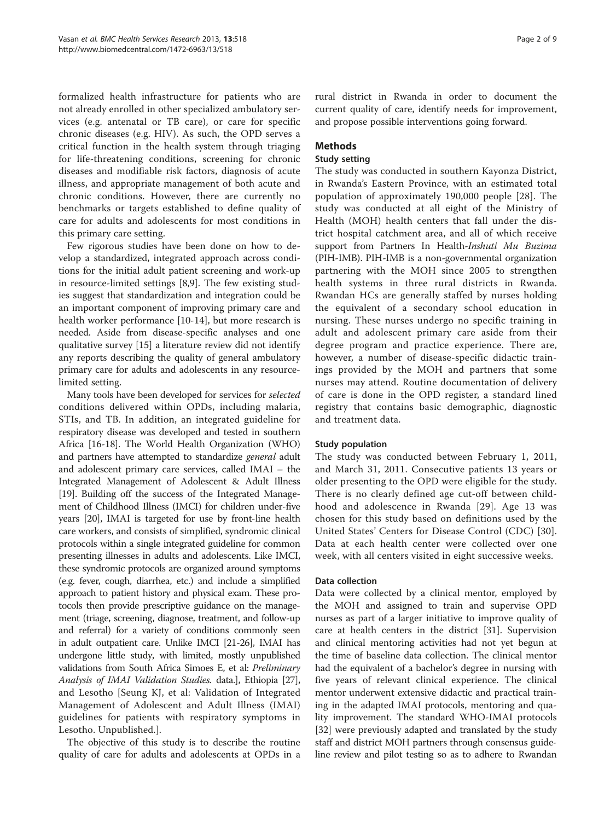formalized health infrastructure for patients who are not already enrolled in other specialized ambulatory services (e.g. antenatal or TB care), or care for specific chronic diseases (e.g. HIV). As such, the OPD serves a critical function in the health system through triaging for life-threatening conditions, screening for chronic diseases and modifiable risk factors, diagnosis of acute illness, and appropriate management of both acute and chronic conditions. However, there are currently no benchmarks or targets established to define quality of care for adults and adolescents for most conditions in this primary care setting.

Few rigorous studies have been done on how to develop a standardized, integrated approach across conditions for the initial adult patient screening and work-up in resource-limited settings [\[8,9](#page-7-0)]. The few existing studies suggest that standardization and integration could be an important component of improving primary care and health worker performance [[10](#page-7-0)-[14\]](#page-7-0), but more research is needed. Aside from disease-specific analyses and one qualitative survey [\[15](#page-7-0)] a literature review did not identify any reports describing the quality of general ambulatory primary care for adults and adolescents in any resourcelimited setting.

Many tools have been developed for services for selected conditions delivered within OPDs, including malaria, STIs, and TB. In addition, an integrated guideline for respiratory disease was developed and tested in southern Africa [\[16](#page-7-0)-[18](#page-7-0)]. The World Health Organization (WHO) and partners have attempted to standardize general adult and adolescent primary care services, called IMAI – the Integrated Management of Adolescent & Adult Illness [[19](#page-7-0)]. Building off the success of the Integrated Management of Childhood Illness (IMCI) for children under-five years [\[20\]](#page-7-0), IMAI is targeted for use by front-line health care workers, and consists of simplified, syndromic clinical protocols within a single integrated guideline for common presenting illnesses in adults and adolescents. Like IMCI, these syndromic protocols are organized around symptoms (e.g. fever, cough, diarrhea, etc.) and include a simplified approach to patient history and physical exam. These protocols then provide prescriptive guidance on the management (triage, screening, diagnose, treatment, and follow-up and referral) for a variety of conditions commonly seen in adult outpatient care. Unlike IMCI [\[21-26](#page-7-0)], IMAI has undergone little study, with limited, mostly unpublished validations from South Africa Simoes E, et al: Preliminary Analysis of IMAI Validation Studies. data.], Ethiopia [\[27](#page-7-0)], and Lesotho [Seung KJ, et al: Validation of Integrated Management of Adolescent and Adult Illness (IMAI) guidelines for patients with respiratory symptoms in Lesotho. Unpublished.].

The objective of this study is to describe the routine quality of care for adults and adolescents at OPDs in a

rural district in Rwanda in order to document the current quality of care, identify needs for improvement, and propose possible interventions going forward.

# Methods

# Study setting

The study was conducted in southern Kayonza District, in Rwanda's Eastern Province, with an estimated total population of approximately 190,000 people [\[28\]](#page-7-0). The study was conducted at all eight of the Ministry of Health (MOH) health centers that fall under the district hospital catchment area, and all of which receive support from Partners In Health-Inshuti Mu Buzima (PIH-IMB). PIH-IMB is a non-governmental organization partnering with the MOH since 2005 to strengthen health systems in three rural districts in Rwanda. Rwandan HCs are generally staffed by nurses holding the equivalent of a secondary school education in nursing. These nurses undergo no specific training in adult and adolescent primary care aside from their degree program and practice experience. There are, however, a number of disease-specific didactic trainings provided by the MOH and partners that some nurses may attend. Routine documentation of delivery of care is done in the OPD register, a standard lined registry that contains basic demographic, diagnostic and treatment data.

# Study population

The study was conducted between February 1, 2011, and March 31, 2011. Consecutive patients 13 years or older presenting to the OPD were eligible for the study. There is no clearly defined age cut-off between childhood and adolescence in Rwanda [\[29](#page-7-0)]. Age 13 was chosen for this study based on definitions used by the United States' Centers for Disease Control (CDC) [[30](#page-7-0)]. Data at each health center were collected over one week, with all centers visited in eight successive weeks.

# Data collection

Data were collected by a clinical mentor, employed by the MOH and assigned to train and supervise OPD nurses as part of a larger initiative to improve quality of care at health centers in the district [[31](#page-7-0)]. Supervision and clinical mentoring activities had not yet begun at the time of baseline data collection. The clinical mentor had the equivalent of a bachelor's degree in nursing with five years of relevant clinical experience. The clinical mentor underwent extensive didactic and practical training in the adapted IMAI protocols, mentoring and quality improvement. The standard WHO-IMAI protocols [[32\]](#page-7-0) were previously adapted and translated by the study staff and district MOH partners through consensus guideline review and pilot testing so as to adhere to Rwandan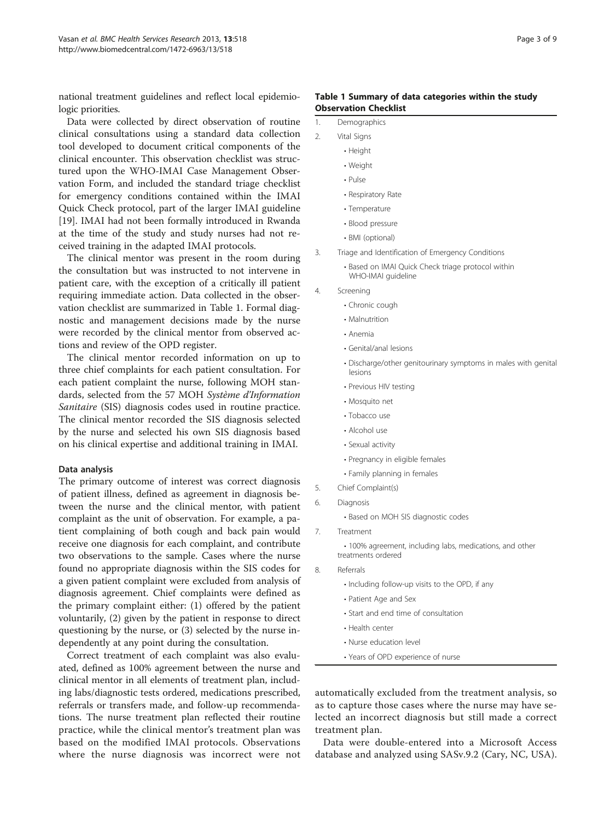national treatment guidelines and reflect local epidemiologic priorities.

Data were collected by direct observation of routine clinical consultations using a standard data collection tool developed to document critical components of the clinical encounter. This observation checklist was structured upon the WHO-IMAI Case Management Observation Form, and included the standard triage checklist for emergency conditions contained within the IMAI Quick Check protocol, part of the larger IMAI guideline [[19\]](#page-7-0). IMAI had not been formally introduced in Rwanda at the time of the study and study nurses had not received training in the adapted IMAI protocols.

The clinical mentor was present in the room during the consultation but was instructed to not intervene in patient care, with the exception of a critically ill patient requiring immediate action. Data collected in the observation checklist are summarized in Table 1. Formal diagnostic and management decisions made by the nurse were recorded by the clinical mentor from observed actions and review of the OPD register.

The clinical mentor recorded information on up to three chief complaints for each patient consultation. For each patient complaint the nurse, following MOH standards, selected from the 57 MOH Système d'Information Sanitaire (SIS) diagnosis codes used in routine practice. The clinical mentor recorded the SIS diagnosis selected by the nurse and selected his own SIS diagnosis based on his clinical expertise and additional training in IMAI.

#### Data analysis

The primary outcome of interest was correct diagnosis of patient illness, defined as agreement in diagnosis between the nurse and the clinical mentor, with patient complaint as the unit of observation. For example, a patient complaining of both cough and back pain would receive one diagnosis for each complaint, and contribute two observations to the sample. Cases where the nurse found no appropriate diagnosis within the SIS codes for a given patient complaint were excluded from analysis of diagnosis agreement. Chief complaints were defined as the primary complaint either: (1) offered by the patient voluntarily, (2) given by the patient in response to direct questioning by the nurse, or (3) selected by the nurse independently at any point during the consultation.

Correct treatment of each complaint was also evaluated, defined as 100% agreement between the nurse and clinical mentor in all elements of treatment plan, including labs/diagnostic tests ordered, medications prescribed, referrals or transfers made, and follow-up recommendations. The nurse treatment plan reflected their routine practice, while the clinical mentor's treatment plan was based on the modified IMAI protocols. Observations where the nurse diagnosis was incorrect were not

#### Table 1 Summary of data categories within the study Observation Checklist

| Demographics |
|--------------|
|              |

- 2. Vital Signs
	- Height
	- Weight
	- Pulse
	- Respiratory Rate
	- Temperature
	- Blood pressure
	- BMI (optional)
- 3. Triage and Identification of Emergency Conditions
	- Based on IMAI Quick Check triage protocol within WHO-IMAI guideline
- 4. Screening
	- Chronic cough
		- Malnutrition
	- Anemia
	- Genital/anal lesions
	- Discharge/other genitourinary symptoms in males with genital lesions
	- Previous HIV testing
	- Mosquito net
	- Tobacco use
	- Alcohol use
	- Sexual activity
	- Pregnancy in eligible females
	- Family planning in females
- 5. Chief Complaint(s)
- 6. Diagnosis
	- Based on MOH SIS diagnostic codes
- 7. Treatment

• 100% agreement, including labs, medications, and other treatments ordered

- 8. Referrals
	- Including follow-up visits to the OPD, if any
	- Patient Age and Sex
	- Start and end time of consultation
	- Health center
	- Nurse education level
	- Years of OPD experience of nurse

automatically excluded from the treatment analysis, so as to capture those cases where the nurse may have selected an incorrect diagnosis but still made a correct treatment plan.

Data were double-entered into a Microsoft Access database and analyzed using SASv.9.2 (Cary, NC, USA).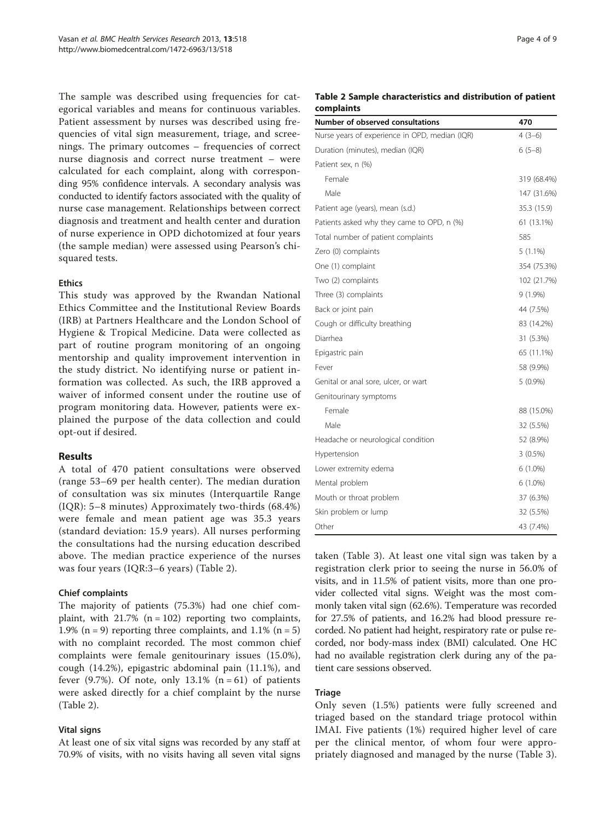The sample was described using frequencies for categorical variables and means for continuous variables. Patient assessment by nurses was described using frequencies of vital sign measurement, triage, and screenings. The primary outcomes – frequencies of correct nurse diagnosis and correct nurse treatment – were calculated for each complaint, along with corresponding 95% confidence intervals. A secondary analysis was conducted to identify factors associated with the quality of nurse case management. Relationships between correct diagnosis and treatment and health center and duration of nurse experience in OPD dichotomized at four years (the sample median) were assessed using Pearson's chisquared tests.

# Ethics

This study was approved by the Rwandan National Ethics Committee and the Institutional Review Boards (IRB) at Partners Healthcare and the London School of Hygiene & Tropical Medicine. Data were collected as part of routine program monitoring of an ongoing mentorship and quality improvement intervention in the study district. No identifying nurse or patient information was collected. As such, the IRB approved a waiver of informed consent under the routine use of program monitoring data. However, patients were explained the purpose of the data collection and could opt-out if desired.

### Results

A total of 470 patient consultations were observed (range 53–69 per health center). The median duration of consultation was six minutes (Interquartile Range (IQR): 5–8 minutes) Approximately two-thirds (68.4%) were female and mean patient age was 35.3 years (standard deviation: 15.9 years). All nurses performing the consultations had the nursing education described above. The median practice experience of the nurses was four years (IQR:3–6 years) (Table 2).

# Chief complaints

The majority of patients (75.3%) had one chief complaint, with  $21.7\%$  (n = 102) reporting two complaints, 1.9% ( $n = 9$ ) reporting three complaints, and 1.1% ( $n = 5$ ) with no complaint recorded. The most common chief complaints were female genitourinary issues (15.0%), cough (14.2%), epigastric abdominal pain (11.1%), and fever  $(9.7\%)$ . Of note, only 13.1%  $(n = 61)$  of patients were asked directly for a chief complaint by the nurse (Table 2).

### Vital signs

At least one of six vital signs was recorded by any staff at 70.9% of visits, with no visits having all seven vital signs

# Table 2 Sample characteristics and distribution of patient complaints

| <b>Number of observed consultations</b>        | 470         |
|------------------------------------------------|-------------|
| Nurse years of experience in OPD, median (IQR) | $4(3-6)$    |
| Duration (minutes), median (IQR)               | $6(5-8)$    |
| Patient sex, n (%)                             |             |
| Female                                         | 319 (68.4%) |
| Male                                           | 147 (31.6%) |
| Patient age (years), mean (s.d.)               | 35.3 (15.9) |
| Patients asked why they came to OPD, n (%)     | 61 (13.1%)  |
| Total number of patient complaints             | 585         |
| Zero (0) complaints                            | $5(1.1\%)$  |
| One (1) complaint                              | 354 (75.3%) |
| Two (2) complaints                             | 102 (21.7%) |
| Three (3) complaints                           | $9(1.9\%)$  |
| Back or joint pain                             | 44 (7.5%)   |
| Cough or difficulty breathing                  | 83 (14.2%)  |
| Diarrhea                                       | 31 (5.3%)   |
| Epigastric pain                                | 65 (11.1%)  |
| Fever                                          | 58 (9.9%)   |
| Genital or anal sore, ulcer, or wart           | $5(0.9\%)$  |
| Genitourinary symptoms                         |             |
| Female                                         | 88 (15.0%)  |
| Male                                           | 32 (5.5%)   |
| Headache or neurological condition             | 52 (8.9%)   |
| Hypertension                                   | $3(0.5\%)$  |
| Lower extremity edema                          | $6(1.0\%)$  |
| Mental problem                                 | $6(1.0\%)$  |
| Mouth or throat problem                        | 37 (6.3%)   |
| Skin problem or lump                           | 32 (5.5%)   |
| Other                                          | 43 (7.4%)   |

taken (Table [3\)](#page-4-0). At least one vital sign was taken by a registration clerk prior to seeing the nurse in 56.0% of visits, and in 11.5% of patient visits, more than one provider collected vital signs. Weight was the most commonly taken vital sign (62.6%). Temperature was recorded for 27.5% of patients, and 16.2% had blood pressure recorded. No patient had height, respiratory rate or pulse recorded, nor body-mass index (BMI) calculated. One HC had no available registration clerk during any of the patient care sessions observed.

### **Triage**

Only seven (1.5%) patients were fully screened and triaged based on the standard triage protocol within IMAI. Five patients (1%) required higher level of care per the clinical mentor, of whom four were appropriately diagnosed and managed by the nurse (Table [3](#page-4-0)).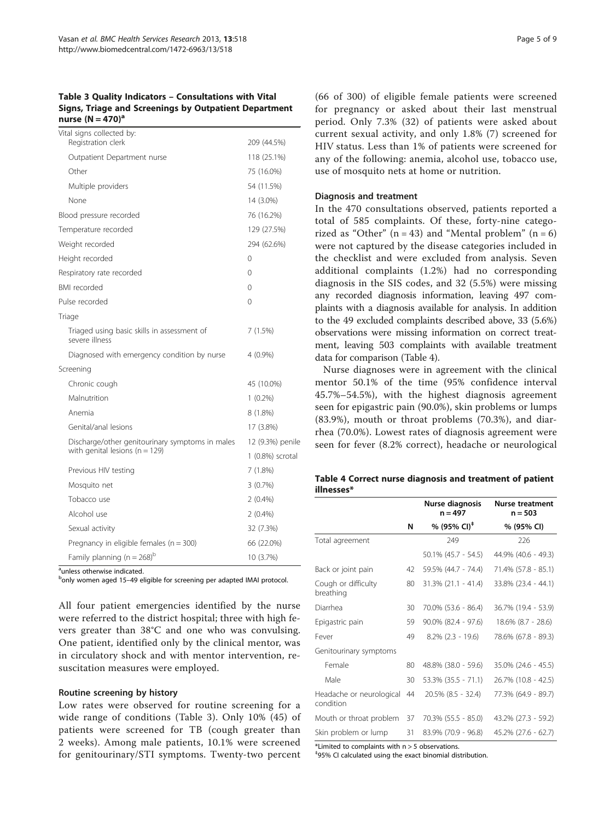# <span id="page-4-0"></span>Table 3 Quality Indicators – Consultations with Vital Signs, Triage and Screenings by Outpatient Department nurse  $(N = 470)^a$

| Vital signs collected by:<br>Registration clerk               | 209 (44.5%)      |
|---------------------------------------------------------------|------------------|
| Outpatient Department nurse                                   | 118 (25.1%)      |
| Other                                                         | 75 (16.0%)       |
| Multiple providers                                            | 54 (11.5%)       |
| None                                                          | 14 (3.0%)        |
| Blood pressure recorded                                       | 76 (16.2%)       |
| Temperature recorded                                          | 129 (27.5%)      |
| Weight recorded                                               | 294 (62.6%)      |
| Height recorded                                               | $\Omega$         |
| Respiratory rate recorded                                     | $\Omega$         |
| <b>BMI</b> recorded                                           | $\Omega$         |
| Pulse recorded                                                | $\Omega$         |
| Triage                                                        |                  |
| Triaged using basic skills in assessment of<br>severe illness | 7 (1.5%)         |
| Diagnosed with emergency condition by nurse                   | $4(0.9\%)$       |
| Screening                                                     |                  |
| Chronic cough                                                 | 45 (10.0%)       |
| Malnutrition                                                  | $1(0.2\%)$       |
| Anemia                                                        | 8 (1.8%)         |
| Genital/anal lesions                                          | 17 (3.8%)        |
| Discharge/other genitourinary symptoms in males               | 12 (9.3%) penile |
| with genital lesions ( $n = 129$ )                            | 1 (0.8%) scrotal |
| Previous HIV testing                                          | 7(1.8%)          |
| Mosquito net                                                  | 3(0.7%)          |
| Tobacco use                                                   | $2(0.4\%)$       |
| Alcohol use                                                   | $2(0.4\%)$       |
| Sexual activity                                               | 32 (7.3%)        |
| Pregnancy in eligible females ( $n = 300$ )                   | 66 (22.0%)       |
| Family planning (n = $268$ ) <sup>b</sup>                     | 10 (3.7%)        |
|                                                               |                  |

<sup>a</sup>unless otherwise indicated.

<sup>b</sup>only women aged 15–49 eligible for screening per adapted IMAI protocol.

All four patient emergencies identified by the nurse were referred to the district hospital; three with high fevers greater than 38°C and one who was convulsing. One patient, identified only by the clinical mentor, was in circulatory shock and with mentor intervention, resuscitation measures were employed.

#### Routine screening by history

Low rates were observed for routine screening for a wide range of conditions (Table 3). Only 10% (45) of patients were screened for TB (cough greater than 2 weeks). Among male patients, 10.1% were screened for genitourinary/STI symptoms. Twenty-two percent

(66 of 300) of eligible female patients were screened for pregnancy or asked about their last menstrual period. Only 7.3% (32) of patients were asked about current sexual activity, and only 1.8% (7) screened for HIV status. Less than 1% of patients were screened for any of the following: anemia, alcohol use, tobacco use, use of mosquito nets at home or nutrition.

#### Diagnosis and treatment

In the 470 consultations observed, patients reported a total of 585 complaints. Of these, forty-nine categorized as "Other"  $(n = 43)$  and "Mental problem"  $(n = 6)$ were not captured by the disease categories included in the checklist and were excluded from analysis. Seven additional complaints (1.2%) had no corresponding diagnosis in the SIS codes, and 32 (5.5%) were missing any recorded diagnosis information, leaving 497 complaints with a diagnosis available for analysis. In addition to the 49 excluded complaints described above, 33 (5.6%) observations were missing information on correct treatment, leaving 503 complaints with available treatment data for comparison (Table 4).

Nurse diagnoses were in agreement with the clinical mentor 50.1% of the time (95% confidence interval 45.7%–54.5%), with the highest diagnosis agreement seen for epigastric pain (90.0%), skin problems or lumps (83.9%), mouth or throat problems (70.3%), and diarrhea (70.0%). Lowest rates of diagnosis agreement were seen for fever (8.2% correct), headache or neurological

Table 4 Correct nurse diagnosis and treatment of patient illnesses\*

|                                       |    | Nurse diagnosis<br>$n = 497$ | <b>Nurse treatment</b><br>$n = 503$ |
|---------------------------------------|----|------------------------------|-------------------------------------|
|                                       | N  | % (95% CI) <sup>‡</sup>      | % (95% CI)                          |
| Total agreement                       |    | 249                          | 226                                 |
|                                       |    | $50.1\%$ (45.7 - 54.5)       | 44.9% (40.6 - 49.3)                 |
| Back or joint pain                    | 42 | 59.5% (44.7 - 74.4)          | 71.4% (57.8 - 85.1)                 |
| Cough or difficulty<br>breathing      | 80 | $31.3\%$ (21.1 - 41.4)       | 33.8% (23.4 - 44.1)                 |
| Diarrhea                              | 30 | 70.0% (53.6 - 86.4)          | 36.7% (19.4 - 53.9)                 |
| Epigastric pain                       | 59 | 90.0% (82.4 - 97.6)          | 18.6% (8.7 - 28.6)                  |
| Fever                                 | 49 | $8.2\%$ (2.3 - 19.6)         | 78.6% (67.8 - 89.3)                 |
| Genitourinary symptoms                |    |                              |                                     |
| Female                                | 80 | 48.8% (38.0 - 59.6)          | 35.0% (24.6 - 45.5)                 |
| Male                                  | 30 | 53.3% (35.5 - 71.1)          | 26.7% (10.8 - 42.5)                 |
| Headache or neurological<br>condition | 44 | 20.5% (8.5 - 32.4)           | 77.3% (64.9 - 89.7)                 |
| Mouth or throat problem               | 37 | 70.3% (55.5 - 85.0)          | 43.2% (27.3 - 59.2)                 |
| Skin problem or lump                  | 31 | 83.9% (70.9 - 96.8)          | 45.2% (27.6 - 62.7)                 |

\*Limited to complaints with n > 5 observations.

‡ 95% CI calculated using the exact binomial distribution.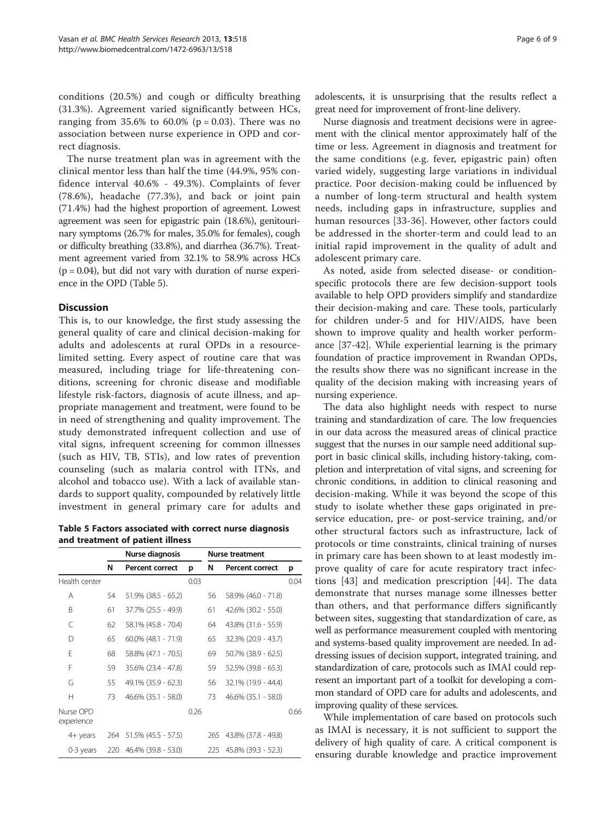conditions (20.5%) and cough or difficulty breathing (31.3%). Agreement varied significantly between HCs, ranging from 35.6% to 60.0% ( $p = 0.03$ ). There was no association between nurse experience in OPD and correct diagnosis.

The nurse treatment plan was in agreement with the clinical mentor less than half the time (44.9%, 95% confidence interval 40.6% - 49.3%). Complaints of fever (78.6%), headache (77.3%), and back or joint pain (71.4%) had the highest proportion of agreement. Lowest agreement was seen for epigastric pain (18.6%), genitourinary symptoms (26.7% for males, 35.0% for females), cough or difficulty breathing (33.8%), and diarrhea (36.7%). Treatment agreement varied from 32.1% to 58.9% across HCs  $(p = 0.04)$ , but did not vary with duration of nurse experience in the OPD (Table 5).

### **Discussion**

This is, to our knowledge, the first study assessing the general quality of care and clinical decision-making for adults and adolescents at rural OPDs in a resourcelimited setting. Every aspect of routine care that was measured, including triage for life-threatening conditions, screening for chronic disease and modifiable lifestyle risk-factors, diagnosis of acute illness, and appropriate management and treatment, were found to be in need of strengthening and quality improvement. The study demonstrated infrequent collection and use of vital signs, infrequent screening for common illnesses (such as HIV, TB, STIs), and low rates of prevention counseling (such as malaria control with ITNs, and alcohol and tobacco use). With a lack of available standards to support quality, compounded by relatively little investment in general primary care for adults and

Table 5 Factors associated with correct nurse diagnosis and treatment of patient illness

|                         | Nurse diagnosis |                         |      | <b>Nurse treatment</b> |                        |      |
|-------------------------|-----------------|-------------------------|------|------------------------|------------------------|------|
|                         | N               | <b>Percent correct</b>  | р    | N                      | <b>Percent correct</b> | р    |
| Health center           |                 |                         | 0.03 |                        |                        | 0.04 |
| A                       | 54              | $51.9\%$ (38.5 - 65.2)  |      | 56                     | 58.9% (46.0 - 71.8)    |      |
| B                       | 61              | 37.7% (25.5 - 49.9)     |      | 61                     | 42.6% (30.2 - 55.0)    |      |
| C                       | 62              | 58.1% (45.8 - 70.4)     |      | 64                     | 43.8% (31.6 - 55.9)    |      |
| D                       | 65              | $60.0\%$ (48.1 - 71.9)  |      | 65                     | 32.3% (20.9 - 43.7)    |      |
| F                       | 68              | 58.8% (47.1 - 70.5)     |      | 69                     | 50.7% (38.9 - 62.5)    |      |
| F                       | 59              | 35.6% (23.4 - 47.8)     |      | 59                     | 52.5% (39.8 - 65.3)    |      |
| G                       | 55              | 49.1% (35.9 - 62.3)     |      | 56                     | 32.1% (19.9 - 44.4)    |      |
| Н                       | 73              | $46.6\%$ (35.1 - 58.0)  |      | 73                     | 46.6% (35.1 - 58.0)    |      |
| Nurse OPD<br>experience |                 |                         | 0.26 |                        |                        | 0.66 |
| 4+ years                |                 | 264 51.5% (45.5 - 57.5) |      | 265                    | 43.8% (37.8 - 49.8)    |      |
| 0-3 years               | 220             | 46.4% (39.8 - 53.0)     |      | 225                    | 45.8% (39.3 - 52.3)    |      |

adolescents, it is unsurprising that the results reflect a great need for improvement of front-line delivery.

Nurse diagnosis and treatment decisions were in agreement with the clinical mentor approximately half of the time or less. Agreement in diagnosis and treatment for the same conditions (e.g. fever, epigastric pain) often varied widely, suggesting large variations in individual practice. Poor decision-making could be influenced by a number of long-term structural and health system needs, including gaps in infrastructure, supplies and human resources [\[33-36](#page-7-0)]. However, other factors could be addressed in the shorter-term and could lead to an initial rapid improvement in the quality of adult and adolescent primary care.

As noted, aside from selected disease- or conditionspecific protocols there are few decision-support tools available to help OPD providers simplify and standardize their decision-making and care. These tools, particularly for children under-5 and for HIV/AIDS, have been shown to improve quality and health worker performance [\[37](#page-7-0)-[42\]](#page-8-0). While experiential learning is the primary foundation of practice improvement in Rwandan OPDs, the results show there was no significant increase in the quality of the decision making with increasing years of nursing experience.

The data also highlight needs with respect to nurse training and standardization of care. The low frequencies in our data across the measured areas of clinical practice suggest that the nurses in our sample need additional support in basic clinical skills, including history-taking, completion and interpretation of vital signs, and screening for chronic conditions, in addition to clinical reasoning and decision-making. While it was beyond the scope of this study to isolate whether these gaps originated in preservice education, pre- or post-service training, and/or other structural factors such as infrastructure, lack of protocols or time constraints, clinical training of nurses in primary care has been shown to at least modestly improve quality of care for acute respiratory tract infections [[43](#page-8-0)] and medication prescription [[44\]](#page-8-0). The data demonstrate that nurses manage some illnesses better than others, and that performance differs significantly between sites, suggesting that standardization of care, as well as performance measurement coupled with mentoring and systems-based quality improvement are needed. In addressing issues of decision support, integrated training, and standardization of care, protocols such as IMAI could represent an important part of a toolkit for developing a common standard of OPD care for adults and adolescents, and improving quality of these services.

While implementation of care based on protocols such as IMAI is necessary, it is not sufficient to support the delivery of high quality of care. A critical component is ensuring durable knowledge and practice improvement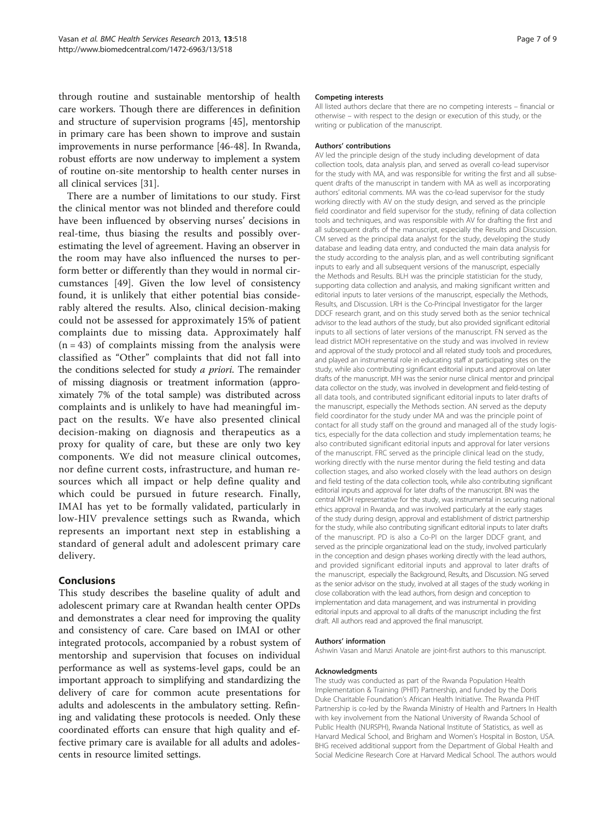through routine and sustainable mentorship of health care workers. Though there are differences in definition and structure of supervision programs [[45](#page-8-0)], mentorship in primary care has been shown to improve and sustain improvements in nurse performance [[46-48\]](#page-8-0). In Rwanda, robust efforts are now underway to implement a system of routine on-site mentorship to health center nurses in all clinical services [[31\]](#page-7-0).

There are a number of limitations to our study. First the clinical mentor was not blinded and therefore could have been influenced by observing nurses' decisions in real-time, thus biasing the results and possibly overestimating the level of agreement. Having an observer in the room may have also influenced the nurses to perform better or differently than they would in normal circumstances [[49\]](#page-8-0). Given the low level of consistency found, it is unlikely that either potential bias considerably altered the results. Also, clinical decision-making could not be assessed for approximately 15% of patient complaints due to missing data. Approximately half  $(n = 43)$  of complaints missing from the analysis were classified as "Other" complaints that did not fall into the conditions selected for study a priori. The remainder of missing diagnosis or treatment information (approximately 7% of the total sample) was distributed across complaints and is unlikely to have had meaningful impact on the results. We have also presented clinical decision-making on diagnosis and therapeutics as a proxy for quality of care, but these are only two key components. We did not measure clinical outcomes, nor define current costs, infrastructure, and human resources which all impact or help define quality and which could be pursued in future research. Finally, IMAI has yet to be formally validated, particularly in low-HIV prevalence settings such as Rwanda, which represents an important next step in establishing a standard of general adult and adolescent primary care delivery.

# Conclusions

This study describes the baseline quality of adult and adolescent primary care at Rwandan health center OPDs and demonstrates a clear need for improving the quality and consistency of care. Care based on IMAI or other integrated protocols, accompanied by a robust system of mentorship and supervision that focuses on individual performance as well as systems-level gaps, could be an important approach to simplifying and standardizing the delivery of care for common acute presentations for adults and adolescents in the ambulatory setting. Refining and validating these protocols is needed. Only these coordinated efforts can ensure that high quality and effective primary care is available for all adults and adolescents in resource limited settings.

#### Competing interests

All listed authors declare that there are no competing interests – financial or otherwise – with respect to the design or execution of this study, or the writing or publication of the manuscript.

#### Authors' contributions

AV led the principle design of the study including development of data collection tools, data analysis plan, and served as overall co-lead supervisor for the study with MA, and was responsible for writing the first and all subsequent drafts of the manuscript in tandem with MA as well as incorporating authors' editorial comments. MA was the co-lead supervisor for the study working directly with AV on the study design, and served as the principle field coordinator and field supervisor for the study, refining of data collection tools and techniques, and was responsible with AV for drafting the first and all subsequent drafts of the manuscript, especially the Results and Discussion. CM served as the principal data analyst for the study, developing the study database and leading data entry, and conducted the main data analysis for the study according to the analysis plan, and as well contributing significant inputs to early and all subsequent versions of the manuscript, especially the Methods and Results. BLH was the principle statistician for the study, supporting data collection and analysis, and making significant written and editorial inputs to later versions of the manuscript, especially the Methods, Results, and Discussion. LRH is the Co-Principal Investigator for the larger DDCF research grant, and on this study served both as the senior technical advisor to the lead authors of the study, but also provided significant editorial inputs to all sections of later versions of the manuscript. FN served as the lead district MOH representative on the study and was involved in review and approval of the study protocol and all related study tools and procedures, and played an instrumental role in educating staff at participating sites on the study, while also contributing significant editorial inputs and approval on later drafts of the manuscript. MH was the senior nurse clinical mentor and principal data collector on the study, was involved in development and field-testing of all data tools, and contributed significant editorial inputs to later drafts of the manuscript, especially the Methods section. AN served as the deputy field coordinator for the study under MA and was the principle point of contact for all study staff on the ground and managed all of the study logistics, especially for the data collection and study implementation teams; he also contributed significant editorial inputs and approval for later versions of the manuscript. FRC served as the principle clinical lead on the study, working directly with the nurse mentor during the field testing and data collection stages, and also worked closely with the lead authors on design and field testing of the data collection tools, while also contributing significant editorial inputs and approval for later drafts of the manuscript. BN was the central MOH representative for the study, was instrumental in securing national ethics approval in Rwanda, and was involved particularly at the early stages of the study during design, approval and establishment of district partnership for the study, while also contributing significant editorial inputs to later drafts of the manuscript. PD is also a Co-PI on the larger DDCF grant, and served as the principle organizational lead on the study, involved particularly in the conception and design phases working directly with the lead authors, and provided significant editorial inputs and approval to later drafts of the manuscript, especially the Background, Results, and Discussion. NG served as the senior advisor on the study, involved at all stages of the study working in close collaboration with the lead authors, from design and conception to implementation and data management, and was instrumental in providing editorial inputs and approval to all drafts of the manuscript including the first draft. All authors read and approved the final manuscript.

#### Authors' information

Ashwin Vasan and Manzi Anatole are joint-first authors to this manuscript.

#### Acknowledgments

The study was conducted as part of the Rwanda Population Health Implementation & Training (PHIT) Partnership, and funded by the Doris Duke Charitable Foundation's African Health Initiative. The Rwanda PHIT Partnership is co-led by the Rwanda Ministry of Health and Partners In Health with key involvement from the National University of Rwanda School of Public Health (NURSPH), Rwanda National Institute of Statistics, as well as Harvard Medical School, and Brigham and Women's Hospital in Boston, USA. BHG received additional support from the Department of Global Health and Social Medicine Research Core at Harvard Medical School. The authors would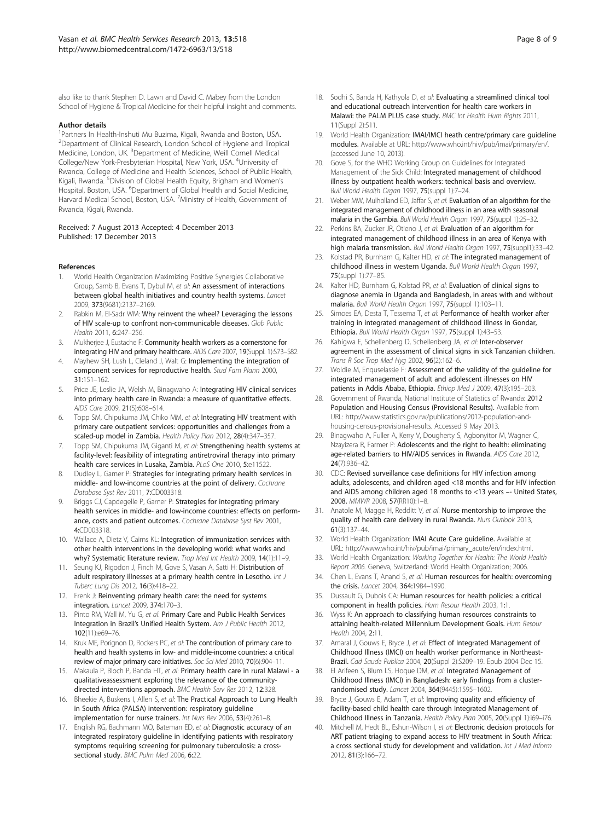<span id="page-7-0"></span>also like to thank Stephen D. Lawn and David C. Mabey from the London School of Hygiene & Tropical Medicine for their helpful insight and comments.

#### Author details

<sup>1</sup> Partners In Health-Inshuti Mu Buzima, Kigali, Rwanda and Boston, USA. <sup>2</sup>Department of Clinical Research, London School of Hygiene and Tropical Medicine, London, UK. <sup>3</sup>Department of Medicine, Weill Cornell Medical College/New York-Presbyterian Hospital, New York, USA. <sup>4</sup>University of Rwanda, College of Medicine and Health Sciences, School of Public Health, Kigali, Rwanda. <sup>5</sup>Division of Global Health Equity, Brigham and Women's Hospital, Boston, USA. <sup>6</sup>Department of Global Health and Social Medicine, Harvard Medical School, Boston, USA. <sup>7</sup>Ministry of Health, Government of Rwanda, Kigali, Rwanda.

#### Received: 7 August 2013 Accepted: 4 December 2013 Published: 17 December 2013

#### References

- 1. World Health Organization Maximizing Positive Synergies Collaborative Group, Samb B, Evans T, Dybul M, et al: An assessment of interactions between global health initiatives and country health systems. Lancet 2009, 373(9681):2137–2169.
- Rabkin M, El-Sadr WM: Why reinvent the wheel? Leveraging the lessons of HIV scale-up to confront non-communicable diseases. Glob Public Health 2011, 6:247–256.
- 3. Mukherjee J, Eustache F: Community health workers as a cornerstone for integrating HIV and primary healthcare. AIDS Care 2007, 19 (Suppl. 1): S73-S82.
- Mayhew SH, Lush L, Cleland J, Walt G: Implementing the integration of component services for reproductive health. Stud Fam Plann 2000, 31:151–162.
- Price JE, Leslie JA, Welsh M, Binagwaho A: Integrating HIV clinical services into primary health care in Rwanda: a measure of quantitative effects. AIDS Care 2009, 21(5):608–614.
- 6. Topp SM, Chipukuma JM, Chiko MM, et al: Integrating HIV treatment with primary care outpatient services: opportunities and challenges from a scaled-up model in Zambia. Health Policy Plan 2012, 28(4):347–357.
- Topp SM, Chipukuma JM, Giganti M, et al: Strengthening health systems at facility-level: feasibility of integrating antiretroviral therapy into primary health care services in Lusaka, Zambia. PLoS One 2010, 5:e11522.
- 8. Dudley L, Garner P: Strategies for integrating primary health services in middle- and low-income countries at the point of delivery. Cochrane Database Syst Rev 2011, 7:CD003318.
- Briggs CJ, Capdegelle P, Garner P: Strategies for integrating primary health services in middle- and low-income countries: effects on performance, costs and patient outcomes. Cochrane Database Syst Rev 2001, 4:CD003318.
- 10. Wallace A, Dietz V, Cairns KL: Integration of immunization services with other health interventions in the developing world: what works and why? Systematic literature review. Trop Med Int Health 2009, 14(1):11-9.
- 11. Seung KJ, Rigodon J, Finch M, Gove S, Vasan A, Satti H: Distribution of adult respiratory illnesses at a primary health centre in Lesotho. Int J Tuberc Lung Dis 2012, 16(3):418–22.
- 12. Frenk J: Reinventing primary health care: the need for systems integration. Lancet 2009, 374:170–3.
- 13. Pinto RM, Wall M, Yu G, et al: Primary Care and Public Health Services Integration in Brazil's Unified Health System. Am J Public Health 2012, 102(11):e69–76.
- 14. Kruk ME, Porignon D, Rockers PC, et al: The contribution of primary care to health and health systems in low- and middle-income countries: a critical review of major primary care initiatives. Soc Sci Med 2010, 70(6):904-11.
- 15. Makaula P, Bloch P, Banda HT, et al: Primary health care in rural Malawi a qualitativeassessment exploring the relevance of the communitydirected interventions approach. BMC Health Serv Res 2012, 12:328.
- 16. Bheekie A, Buskens I, Allen S, et al: The Practical Approach to Lung Health in South Africa (PALSA) intervention: respiratory guideline implementation for nurse trainers. Int Nurs Rev 2006, 53(4):261–8.
- 17. English RG, Bachmann MO, Bateman ED, et al: Diagnostic accuracy of an integrated respiratory guideline in identifying patients with respiratory symptoms requiring screening for pulmonary tuberculosis: a crosssectional study. BMC Pulm Med 2006, 6:22.
- 18. Sodhi S, Banda H, Kathyola D, et al: Evaluating a streamlined clinical tool and educational outreach intervention for health care workers in Malawi: the PALM PLUS case study. BMC Int Health Hum Rights 2011, 11(Suppl 2):S11.
- 19. World Health Organization: IMAI/IMCI heath centre/primary care guideline modules. Available at URL: [http://www.who.int/hiv/pub/imai/primary/en/.](http://www.who.int/hiv/pub/imai/primary/en/) (accessed June 10, 2013).
- 20. Gove S, for the WHO Working Group on Guidelines for Integrated Management of the Sick Child: Integrated management of childhood illness by outpatient health workers: technical basis and overview. Bull World Health Organ 1997, 75(suppl 1):7–24.
- 21. Weber MW, Mulholland ED, Jaffar S, et al: Evaluation of an algorithm for the integrated management of childhood illness in an area with seasonal malaria in the Gambia. Bull World Health Organ 1997, 75(suppl 1):25–32.
- 22. Perkins BA, Zucker JR, Otieno J, et al: Evaluation of an algorithm for integrated management of childhood illness in an area of Kenya with high malaria transmission. Bull World Health Organ 1997, 75(suppl1):33-42.
- 23. Kolstad PR, Burnham G, Kalter HD, et al: The integrated management of childhood illness in western Uganda. Bull World Health Organ 1997, 75(suppl 1):77–85.
- 24. Kalter HD, Burnham G, Kolstad PR, et al: Evaluation of clinical signs to diagnose anemia in Uganda and Bangladesh, in areas with and without malaria. Bull World Health Organ 1997, 75(suppl 1):103–11.
- 25. Simoes EA, Desta T, Tessema T, et al: Performance of health worker after training in integrated management of childhood illness in Gondar, Ethiopia. Bull World Health Organ 1997, 75(suppl 1):43–53.
- 26. Kahigwa E, Schellenberg D, Schellenberg JA, et al: Inter-observer agreement in the assessment of clinical signs in sick Tanzanian children. Trans R Soc Trop Med Hyg 2002, 96(2):162–6.
- 27. Woldie M, Enquselassie F: Assessment of the validity of the quideline for integrated management of adult and adolescent illnesses on HIV patients in Addis Ababa, Ethiopia. Ethiop Med J 2009, 47(3):195-203.
- 28. Government of Rwanda, National Institute of Statistics of Rwanda: 2012 Population and Housing Census (Provisional Results). Available from URL: [http://www.statistics.gov.rw/publications/2012-population-and](http://www.statistics.gov.rw/publications/2012-population-and-housing-census-provisional-results)[housing-census-provisional-results.](http://www.statistics.gov.rw/publications/2012-population-and-housing-census-provisional-results) Accessed 9 May 2013.
- 29. Binagwaho A, Fuller A, Kerry V, Dougherty S, Agbonyitor M, Wagner C, Nzayizera R, Farmer P: Adolescents and the right to health: eliminating age-related barriers to HIV/AIDS services in Rwanda. AIDS Care 2012, 24(7):936–42.
- 30. CDC: Revised surveillance case definitions for HIV infection among adults, adolescents, and children aged <18 months and for HIV infection and AIDS among children aged 18 months to <13 years –- United States, 2008. MMWR 2008, 57(RR10):1–8.
- 31. Anatole M, Magge H, Redditt V, et al: Nurse mentorship to improve the quality of health care delivery in rural Rwanda. Nurs Outlook 2013, 61(3):137–44.
- 32. World Health Organization: IMAI Acute Care guideline. Available at URL: [http://www.who.int/hiv/pub/imai/primary\\_acute/en/index.html.](http://www.who.int/hiv/pub/imai/primary_acute/en/index.html)
- 33. World Health Organization: Working Together for Health: The World Health Report 2006. Geneva, Switzerland: World Health Organization; 2006.
- 34. Chen L, Evans T, Anand S, et al: Human resources for health: overcoming the crisis. Lancet 2004, 364:1984–1990.
- 35. Dussault G, Dubois CA: Human resources for health policies: a critical component in health policies. Hum Resour Health 2003, 1:1.
- 36. Wyss K: An approach to classifying human resources constraints to attaining health-related Millennium Development Goals. Hum Resour Health 2004, 2:11.
- 37. Amaral J, Gouws E, Bryce J, et al: Effect of Integrated Management of Childhood Illness (IMCI) on health worker performance in Northeast-Brazil. Cad Saude Publica 2004, 20(Suppl 2):S209–19. Epub 2004 Dec 15.
- 38. El Arifeen S, Blum LS, Hoque DM, et al: Integrated Management of Childhood Illness (IMCI) in Bangladesh: early findings from a clusterrandomised study. Lancet 2004, 364(9445):1595–1602.
- 39. Bryce J, Gouws E, Adam T, et al: Improving quality and efficiency of facility-based child health care through Integrated Management of Childhood Illness in Tanzania. Health Policy Plan 2005, 20(Suppl 1):i69–i76.
- 40. Mitchell M, Hedt BL, Eshun-Wilson I, et al: Electronic decision protocols for ART patient triaging to expand access to HIV treatment in South Africa: a cross sectional study for development and validation. Int J Med Inform 2012, 81(3):166–72.